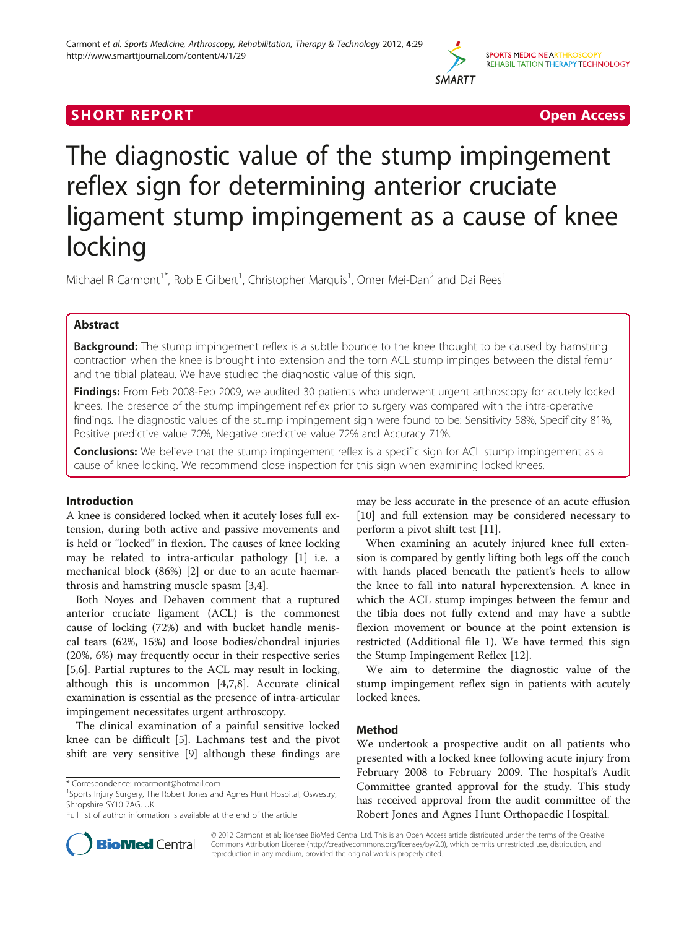

# **SHORT REPORT SHORT CONSUMING THE SHORT CONSUMING THE SHORT CONSUMING THE SHORT CONSUMING THE SHORT CONSUMING THE SHORT CONSUMING THE SHORT CONSUMING THE SHORT CONSUMING THE SHORT CONSUMING THE SHORT CONSUMING THE SHORT**

# The diagnostic value of the stump impingement reflex sign for determining anterior cruciate ligament stump impingement as a cause of knee locking

Michael R Carmont<sup>1\*</sup>, Rob E Gilbert<sup>1</sup>, Christopher Marquis<sup>1</sup>, Omer Mei-Dan<sup>2</sup> and Dai Rees<sup>1</sup>

# Abstract

**Background:** The stump impingement reflex is a subtle bounce to the knee thought to be caused by hamstring contraction when the knee is brought into extension and the torn ACL stump impinges between the distal femur and the tibial plateau. We have studied the diagnostic value of this sign.

Findings: From Feb 2008-Feb 2009, we audited 30 patients who underwent urgent arthroscopy for acutely locked knees. The presence of the stump impingement reflex prior to surgery was compared with the intra-operative findings. The diagnostic values of the stump impingement sign were found to be: Sensitivity 58%, Specificity 81%, Positive predictive value 70%, Negative predictive value 72% and Accuracy 71%.

**Conclusions:** We believe that the stump impingement reflex is a specific sign for ACL stump impingement as a cause of knee locking. We recommend close inspection for this sign when examining locked knees.

# Introduction

A knee is considered locked when it acutely loses full extension, during both active and passive movements and is held or "locked" in flexion. The causes of knee locking may be related to intra-articular pathology [[1\]](#page-3-0) i.e. a mechanical block (86%) [\[2](#page-3-0)] or due to an acute haemarthrosis and hamstring muscle spasm [\[3,4](#page-3-0)].

Both Noyes and Dehaven comment that a ruptured anterior cruciate ligament (ACL) is the commonest cause of locking (72%) and with bucket handle meniscal tears (62%, 15%) and loose bodies/chondral injuries (20%, 6%) may frequently occur in their respective series [[5,6\]](#page-3-0). Partial ruptures to the ACL may result in locking, although this is uncommon [\[4](#page-3-0),[7](#page-3-0),[8](#page-3-0)]. Accurate clinical examination is essential as the presence of intra-articular impingement necessitates urgent arthroscopy.

The clinical examination of a painful sensitive locked knee can be difficult [[5\]](#page-3-0). Lachmans test and the pivot shift are very sensitive [\[9\]](#page-3-0) although these findings are may be less accurate in the presence of an acute effusion [[10\]](#page-3-0) and full extension may be considered necessary to perform a pivot shift test [\[11\]](#page-3-0).

When examining an acutely injured knee full extension is compared by gently lifting both legs off the couch with hands placed beneath the patient's heels to allow the knee to fall into natural hyperextension. A knee in which the ACL stump impinges between the femur and the tibia does not fully extend and may have a subtle flexion movement or bounce at the point extension is restricted (Additional file [1](#page-2-0)). We have termed this sign the Stump Impingement Reflex [\[12](#page-3-0)].

We aim to determine the diagnostic value of the stump impingement reflex sign in patients with acutely locked knees.

# Method

We undertook a prospective audit on all patients who presented with a locked knee following acute injury from February 2008 to February 2009. The hospital's Audit Committee granted approval for the study. This study has received approval from the audit committee of the Robert Jones and Agnes Hunt Orthopaedic Hospital.



© 2012 Carmont et al.; licensee BioMed Central Ltd. This is an Open Access article distributed under the terms of the Creative Commons Attribution License [\(http://creativecommons.org/licenses/by/2.0\)](http://creativecommons.org/licenses/by/2.0), which permits unrestricted use, distribution, and reproduction in any medium, provided the original work is properly cited.

<sup>\*</sup> Correspondence: [mcarmont@hotmail.com](mailto:mcarmont@hotmail.com) <sup>1</sup>

<sup>&</sup>lt;sup>1</sup>Sports Injury Surgery, The Robert Jones and Agnes Hunt Hospital, Oswestry, Shropshire SY10 7AG, UK

Full list of author information is available at the end of the article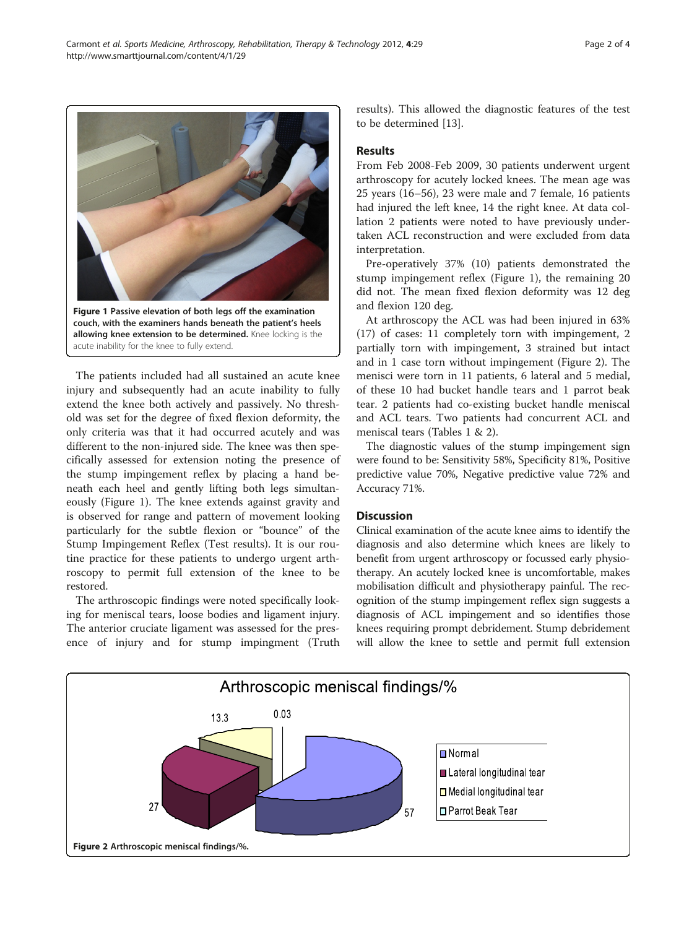The patients included had all sustained an acute knee injury and subsequently had an acute inability to fully extend the knee both actively and passively. No threshold was set for the degree of fixed flexion deformity, the only criteria was that it had occurred acutely and was different to the non-injured side. The knee was then specifically assessed for extension noting the presence of the stump impingement reflex by placing a hand beneath each heel and gently lifting both legs simultaneously (Figure 1). The knee extends against gravity and is observed for range and pattern of movement looking particularly for the subtle flexion or "bounce" of the Stump Impingement Reflex (Test results). It is our routine practice for these patients to undergo urgent arthroscopy to permit full extension of the knee to be restored.

The arthroscopic findings were noted specifically looking for meniscal tears, loose bodies and ligament injury. The anterior cruciate ligament was assessed for the presence of injury and for stump impingment (Truth results). This allowed the diagnostic features of the test to be determined [\[13\]](#page-3-0).

From Feb 2008-Feb 2009, 30 patients underwent urgent arthroscopy for acutely locked knees. The mean age was 25 years (16–56), 23 were male and 7 female, 16 patients had injured the left knee, 14 the right knee. At data collation 2 patients were noted to have previously undertaken ACL reconstruction and were excluded from data interpretation.

Pre-operatively 37% (10) patients demonstrated the stump impingement reflex (Figure 1), the remaining 20 did not. The mean fixed flexion deformity was 12 deg and flexion 120 deg.

At arthroscopy the ACL was had been injured in 63% (17) of cases: 11 completely torn with impingement, 2 partially torn with impingement, 3 strained but intact and in 1 case torn without impingement (Figure 2). The menisci were torn in 11 patients, 6 lateral and 5 medial, of these 10 had bucket handle tears and 1 parrot beak tear. 2 patients had co-existing bucket handle meniscal and ACL tears. Two patients had concurrent ACL and meniscal tears (Tables [1](#page-2-0) & [2\)](#page-2-0).

The diagnostic values of the stump impingement sign were found to be: Sensitivity 58%, Specificity 81%, Positive predictive value 70%, Negative predictive value 72% and Accuracy 71%.

# **Discussion**

Clinical examination of the acute knee aims to identify the diagnosis and also determine which knees are likely to benefit from urgent arthroscopy or focussed early physiotherapy. An acutely locked knee is uncomfortable, makes mobilisation difficult and physiotherapy painful. The recognition of the stump impingement reflex sign suggests a diagnosis of ACL impingement and so identifies those knees requiring prompt debridement. Stump debridement will allow the knee to settle and permit full extension





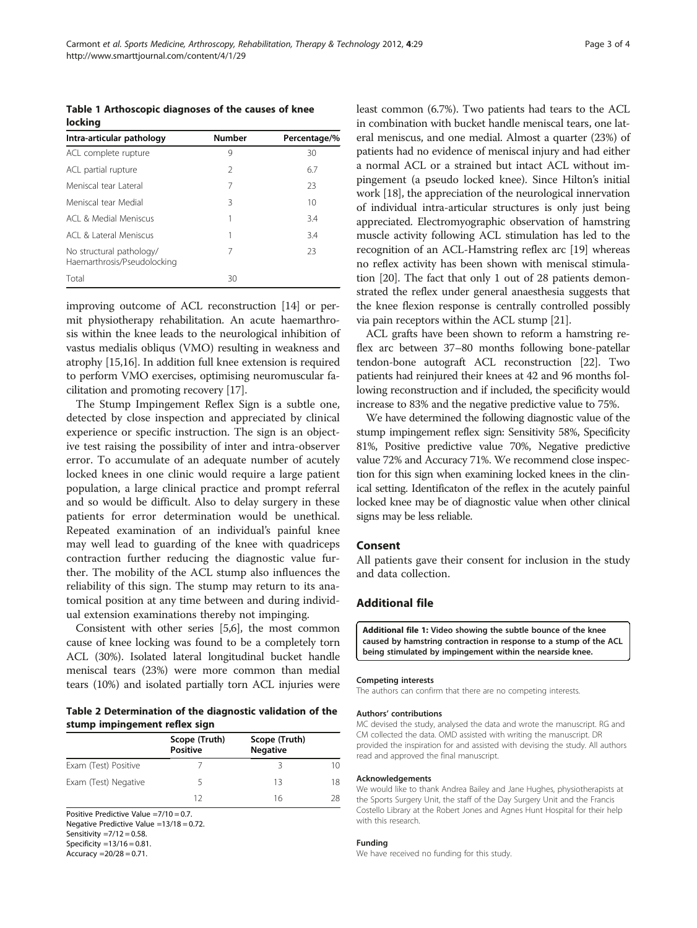<span id="page-2-0"></span>Table 1 Arthoscopic diagnoses of the causes of knee locking

| Intra-articular pathology                               | <b>Number</b> | Percentage/% |
|---------------------------------------------------------|---------------|--------------|
| ACL complete rupture                                    | 9             | 30           |
| ACL partial rupture                                     | $\mathcal{L}$ | 6.7          |
| Meniscal tear Lateral                                   | 7             | 23           |
| Meniscal tear Medial                                    | 3             | 10           |
| ACL & Medial Meniscus                                   |               | 3.4          |
| ACL & Lateral Meniscus                                  | 1             | 3.4          |
| No structural pathology/<br>Haemarthrosis/Pseudolocking | 7             | 23           |
| Total                                                   | 30            |              |

improving outcome of ACL reconstruction [[14](#page-3-0)] or permit physiotherapy rehabilitation. An acute haemarthrosis within the knee leads to the neurological inhibition of vastus medialis obliqus (VMO) resulting in weakness and atrophy [\[15,16\]](#page-3-0). In addition full knee extension is required to perform VMO exercises, optimising neuromuscular facilitation and promoting recovery [\[17](#page-3-0)].

The Stump Impingement Reflex Sign is a subtle one, detected by close inspection and appreciated by clinical experience or specific instruction. The sign is an objective test raising the possibility of inter and intra-observer error. To accumulate of an adequate number of acutely locked knees in one clinic would require a large patient population, a large clinical practice and prompt referral and so would be difficult. Also to delay surgery in these patients for error determination would be unethical. Repeated examination of an individual's painful knee may well lead to guarding of the knee with quadriceps contraction further reducing the diagnostic value further. The mobility of the ACL stump also influences the reliability of this sign. The stump may return to its anatomical position at any time between and during individual extension examinations thereby not impinging.

Consistent with other series [[5,6](#page-3-0)], the most common cause of knee locking was found to be a completely torn ACL (30%). Isolated lateral longitudinal bucket handle meniscal tears (23%) were more common than medial tears (10%) and isolated partially torn ACL injuries were

Table 2 Determination of the diagnostic validation of the stump impingement reflex sign

|                                           | Scope (Truth)<br><b>Positive</b> | Scope (Truth)<br><b>Negative</b> |                   |
|-------------------------------------------|----------------------------------|----------------------------------|-------------------|
| Exam (Test) Positive                      |                                  |                                  | $\overline{1}$ () |
| Exam (Test) Negative                      |                                  | 13                               | 18                |
|                                           | 12                               | 16                               | 28                |
| Positive Predictive Value $=7/10 = 0.7$ . |                                  |                                  |                   |

Negative Predictive Value =13/18 = 0.72. Sensitivity  $=7/12 = 0.58$ . Specificity  $=13/16 = 0.81$ .

Accuracy  $=20/28 = 0.71$ .

least common (6.7%). Two patients had tears to the ACL in combination with bucket handle meniscal tears, one lateral meniscus, and one medial. Almost a quarter (23%) of patients had no evidence of meniscal injury and had either a normal ACL or a strained but intact ACL without impingement (a pseudo locked knee). Since Hilton's initial work [[18](#page-3-0)], the appreciation of the neurological innervation of individual intra-articular structures is only just being appreciated. Electromyographic observation of hamstring muscle activity following ACL stimulation has led to the recognition of an ACL-Hamstring reflex arc [\[19\]](#page-3-0) whereas no reflex activity has been shown with meniscal stimulation [\[20\]](#page-3-0). The fact that only 1 out of 28 patients demonstrated the reflex under general anaesthesia suggests that the knee flexion response is centrally controlled possibly via pain receptors within the ACL stump [[21](#page-3-0)].

ACL grafts have been shown to reform a hamstring reflex arc between 37–80 months following bone-patellar tendon-bone autograft ACL reconstruction [[22](#page-3-0)]. Two patients had reinjured their knees at 42 and 96 months following reconstruction and if included, the specificity would increase to 83% and the negative predictive value to 75%.

We have determined the following diagnostic value of the stump impingement reflex sign: Sensitivity 58%, Specificity 81%, Positive predictive value 70%, Negative predictive value 72% and Accuracy 71%. We recommend close inspection for this sign when examining locked knees in the clinical setting. Identificaton of the reflex in the acutely painful locked knee may be of diagnostic value when other clinical signs may be less reliable.

## Consent

All patients gave their consent for inclusion in the study and data collection.

# Additional file

[Additional file 1:](http://www.biomedcentral.com/content/supplementary/1758-2555-4-29-S1.avi) Video showing the subtle bounce of the knee caused by hamstring contraction in response to a stump of the ACL being stimulated by impingement within the nearside knee.

#### Competing interests

The authors can confirm that there are no competing interests.

#### Authors' contributions

MC devised the study, analysed the data and wrote the manuscript. RG and CM collected the data. OMD assisted with writing the manuscript. DR provided the inspiration for and assisted with devising the study. All authors read and approved the final manuscript.

#### Acknowledgements

We would like to thank Andrea Bailey and Jane Hughes, physiotherapists at the Sports Surgery Unit, the staff of the Day Surgery Unit and the Francis Costello Library at the Robert Jones and Agnes Hunt Hospital for their help with this research.

## Funding

We have received no funding for this study.